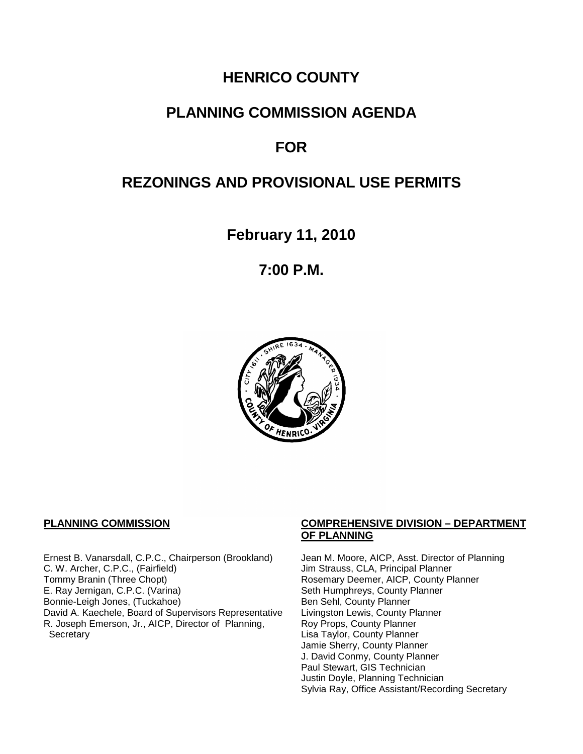# **HENRICO COUNTY**

# **PLANNING COMMISSION AGENDA**

# **FOR**

# **REZONINGS AND PROVISIONAL USE PERMITS**

**February 11, 2010**

**7:00 P.M.**



Ernest B. Vanarsdall, C.P.C., Chairperson (Brookland) Jean M. Moore, AICP, Asst. Director of Planning<br>C. W. Archer, C.P.C., (Fairfield) Jim Strauss, CLA, Principal Planner C. W. Archer, C.P.C., (Fairfield) Jim Strauss, CLA, Principal Planner<br>
Tommy Branin (Three Chopt) Strauss, CLA, Principal Planner<br>
Rosemary Deemer, AICP, County P E. Ray Jernigan, C.P.C. (Varina) Seth Humphreys, County Planner<br>Bonnie-Leigh Jones, (Tuckahoe) Sen Sehl, County Planner Bonnie-Leigh Jones, (Tuckahoe)<br>David A. Kaechele, Board of Supervisors Representative Livingston Lewis, County Planner David A. Kaechele, Board of Supervisors Representative R. Joseph Emerson, Jr., AICP, Director of Planning, **Secretary** 

#### **PLANNING COMMISSION COMPREHENSIVE DIVISION – DEPARTMENT OF PLANNING**

Rosemary Deemer, AICP, County Planner Roy Props, County Planner Lisa Taylor, County Planner Jamie Sherry, County Planner J. David Conmy, County Planner Paul Stewart, GIS Technician Justin Doyle, Planning Technician Sylvia Ray, Office Assistant/Recording Secretary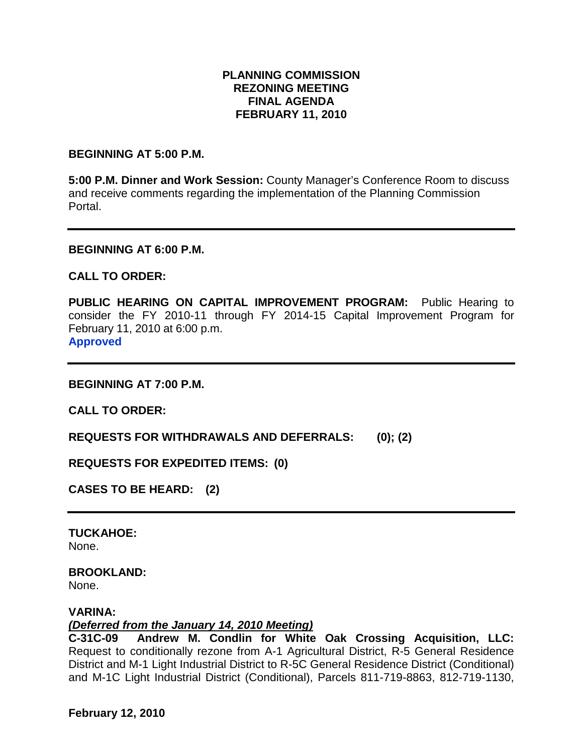## **PLANNING COMMISSION REZONING MEETING FINAL AGENDA FEBRUARY 11, 2010**

**BEGINNING AT 5:00 P.M.**

**5:00 P.M. Dinner and Work Session:** County Manager's Conference Room to discuss and receive comments regarding the implementation of the Planning Commission Portal.

#### **BEGINNING AT 6:00 P.M.**

### **CALL TO ORDER:**

**PUBLIC HEARING ON CAPITAL IMPROVEMENT PROGRAM:** Public Hearing to consider the FY 2010-11 through FY 2014-15 Capital Improvement Program for February 11, 2010 at 6:00 p.m. **Approved**

**BEGINNING AT 7:00 P.M.**

**CALL TO ORDER:**

**REQUESTS FOR WITHDRAWALS AND DEFERRALS: (0); (2)**

**REQUESTS FOR EXPEDITED ITEMS: (0)**

**CASES TO BE HEARD: (2)**

**TUCKAHOE:** None.

#### **BROOKLAND:** None.

### **VARINA:**

*(Deferred from the January 14, 2010 Meeting)*

**C-31C-09 Andrew M. Condlin for White Oak Crossing Acquisition, LLC:**  Request to conditionally rezone from A-1 Agricultural District, R-5 General Residence District and M-1 Light Industrial District to R-5C General Residence District (Conditional) and M-1C Light Industrial District (Conditional), Parcels 811-719-8863, 812-719-1130,

**February 12, 2010**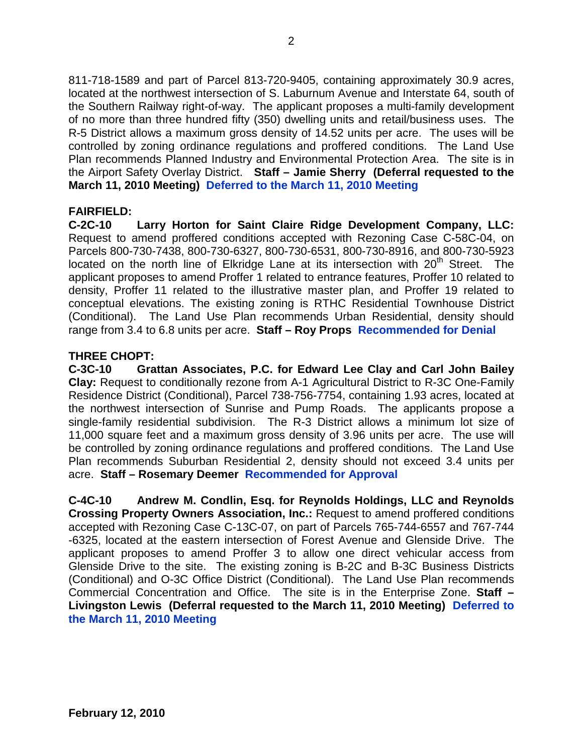811-718-1589 and part of Parcel 813-720-9405, containing approximately 30.9 acres, located at the northwest intersection of S. Laburnum Avenue and Interstate 64, south of the Southern Railway right-of-way. The applicant proposes a multi-family development of no more than three hundred fifty (350) dwelling units and retail/business uses. The R-5 District allows a maximum gross density of 14.52 units per acre. The uses will be controlled by zoning ordinance regulations and proffered conditions. The Land Use Plan recommends Planned Industry and Environmental Protection Area. The site is in the Airport Safety Overlay District. **Staff – Jamie Sherry (Deferral requested to the March 11, 2010 Meeting) Deferred to the March 11, 2010 Meeting**

## **FAIRFIELD:**

**C-2C-10 Larry Horton for Saint Claire Ridge Development Company, LLC:** Request to amend proffered conditions accepted with Rezoning Case C-58C-04, on Parcels 800-730-7438, 800-730-6327, 800-730-6531, 800-730-8916, and 800-730-5923 located on the north line of Elkridge Lane at its intersection with  $20<sup>th</sup>$  Street. The applicant proposes to amend Proffer 1 related to entrance features, Proffer 10 related to density, Proffer 11 related to the illustrative master plan, and Proffer 19 related to conceptual elevations. The existing zoning is RTHC Residential Townhouse District (Conditional). The Land Use Plan recommends Urban Residential, density should range from 3.4 to 6.8 units per acre. **Staff – Roy Props Recommended for Denial**

## **THREE CHOPT:**

**C-3C-10 Grattan Associates, P.C. for Edward Lee Clay and Carl John Bailey Clay:** Request to conditionally rezone from A-1 Agricultural District to R-3C One-Family Residence District (Conditional), Parcel 738-756-7754, containing 1.93 acres, located at the northwest intersection of Sunrise and Pump Roads. The applicants propose a single-family residential subdivision. The R-3 District allows a minimum lot size of 11,000 square feet and a maximum gross density of 3.96 units per acre. The use will be controlled by zoning ordinance regulations and proffered conditions. The Land Use Plan recommends Suburban Residential 2, density should not exceed 3.4 units per acre. **Staff – Rosemary Deemer Recommended for Approval**

**C-4C-10 Andrew M. Condlin, Esq. for Reynolds Holdings, LLC and Reynolds Crossing Property Owners Association, Inc.:** Request to amend proffered conditions accepted with Rezoning Case C-13C-07, on part of Parcels 765-744-6557 and 767-744 -6325, located at the eastern intersection of Forest Avenue and Glenside Drive. The applicant proposes to amend Proffer 3 to allow one direct vehicular access from Glenside Drive to the site. The existing zoning is B-2C and B-3C Business Districts (Conditional) and O-3C Office District (Conditional). The Land Use Plan recommends Commercial Concentration and Office. The site is in the Enterprise Zone. **Staff – Livingston Lewis (Deferral requested to the March 11, 2010 Meeting) Deferred to the March 11, 2010 Meeting**